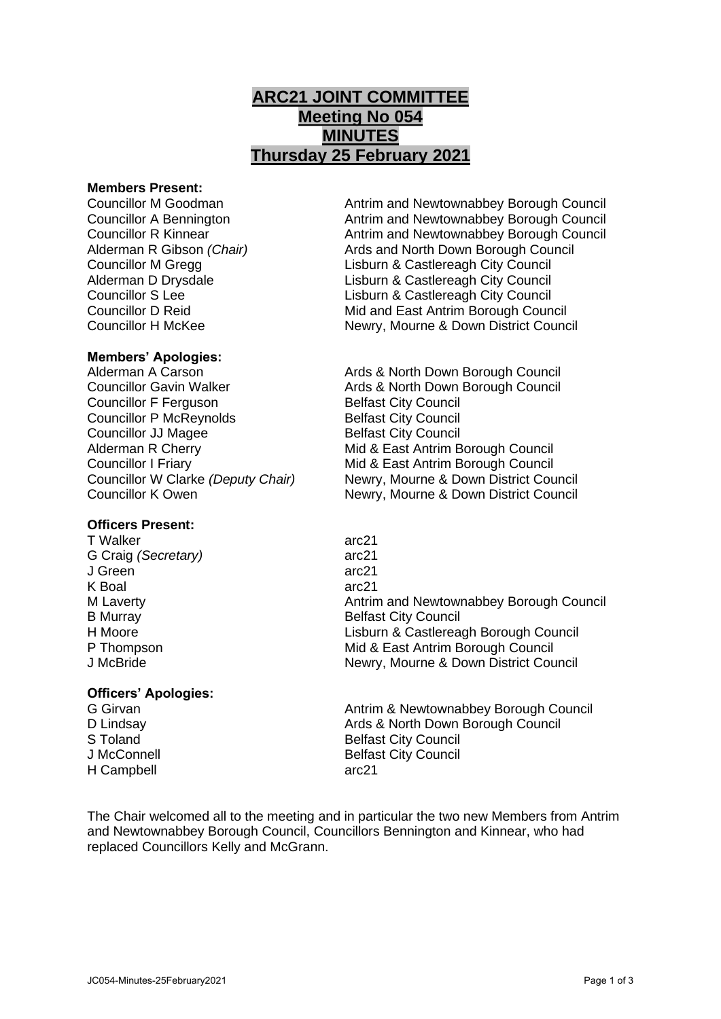# **ARC21 JOINT COMMITTEE Meeting No 054 MINUTES Thursday 25 February 2021**

#### **Members Present:**

### **Members' Apologies:**

Councillor F Ferguson Belfast City Council Councillor P McReynolds Belfast City Council **Councillor JJ Magee Belfast City Council** 

## **Officers Present:**

T Walker arc21 G Craig *(Secretary)* arc21 J Green arc21 K Boal arc21

### **Officers' Apologies:**

H Campbell arc21

Councillor M Goodman Antrim and Newtownabbey Borough Council Councillor A Bennington **Antrim and Newtownabbey Borough Council** Councillor R Kinnear **Antrim and Newtownabbey Borough Council** Alderman R Gibson *(Chair)* Ards and North Down Borough Council Councillor M Gregg Lisburn & Castlereagh City Council Alderman D Drysdale Lisburn & Castlereagh City Council Councillor S Lee Lisburn & Castlereagh City Council Councillor D Reid Mid and East Antrim Borough Council Councillor H McKee Newry, Mourne & Down District Council

Alderman A Carson **Arica Ards & North Down Borough Council** Councillor Gavin Walker **Ards & North Down Borough Council** Alderman R Cherry **Mid & East Antrim Borough Council** Councillor I Friary Mid & East Antrim Borough Council Councillor W Clarke *(Deputy Chair)* Newry, Mourne & Down District Council Councillor K Owen Newry, Mourne & Down District Council

M Laverty **Antrim and Newtownabbey Borough Council**<br>B Murray **Antrim and Newtownabbey Borough Council**<br>Belfast City Council **Belfast City Council** H Moore Lisburn & Castlereagh Borough Council P Thompson **P** Thompson **Mid & East Antrim Borough Council** J McBride Newry, Mourne & Down District Council

G Girvan **Antrim & Newtownabbey Borough Council** Council D Lindsay Ards & North Down Borough Council S Toland Belfast City Council J McConnell **Belfast City Council** 

The Chair welcomed all to the meeting and in particular the two new Members from Antrim and Newtownabbey Borough Council, Councillors Bennington and Kinnear, who had replaced Councillors Kelly and McGrann.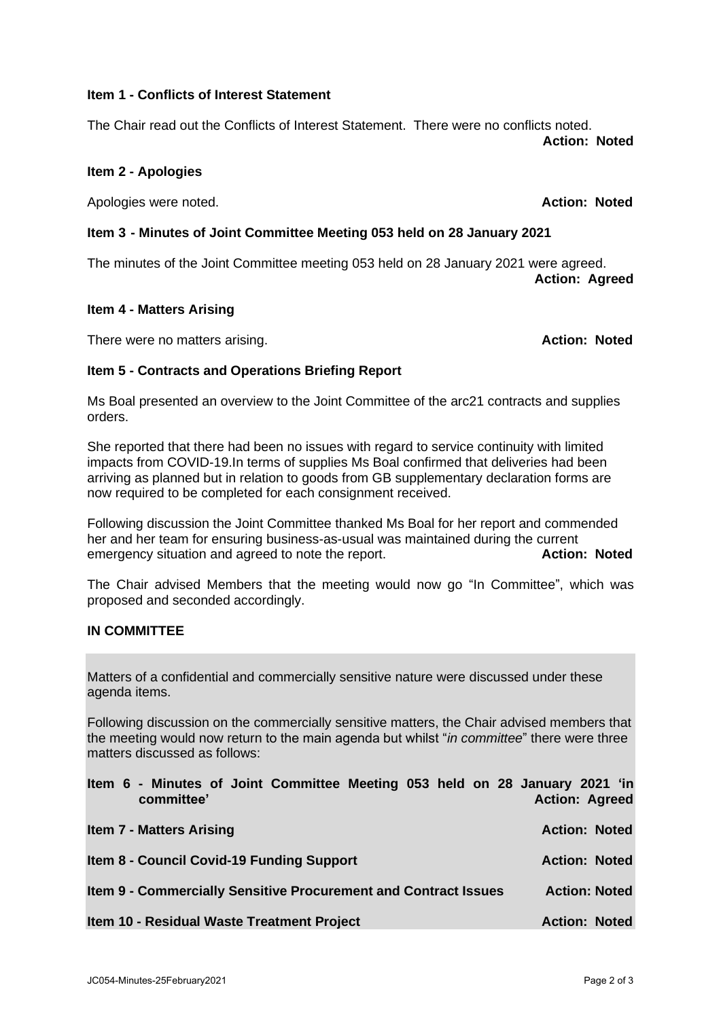## **Item 1 - Conflicts of Interest Statement**

The Chair read out the Conflicts of Interest Statement. There were no conflicts noted. **Action: Noted**

# **Item 2 - Apologies**

Apologies were noted. **Action: Noted**

# **Item 3 - Minutes of Joint Committee Meeting 053 held on 28 January 2021**

The minutes of the Joint Committee meeting 053 held on 28 January 2021 were agreed. **Action: Agreed**

### **Item 4 - Matters Arising**

There were no matters arising. **Action: Noted**

# **Item 5 - Contracts and Operations Briefing Report**

Ms Boal presented an overview to the Joint Committee of the arc21 contracts and supplies orders.

She reported that there had been no issues with regard to service continuity with limited impacts from COVID-19.In terms of supplies Ms Boal confirmed that deliveries had been arriving as planned but in relation to goods from GB supplementary declaration forms are now required to be completed for each consignment received.

Following discussion the Joint Committee thanked Ms Boal for her report and commended her and her team for ensuring business-as-usual was maintained during the current emergency situation and agreed to note the report. **Action: Noted**

The Chair advised Members that the meeting would now go "In Committee", which was proposed and seconded accordingly.

### **IN COMMITTEE**

Matters of a confidential and commercially sensitive nature were discussed under these agenda items.

Following discussion on the commercially sensitive matters, the Chair advised members that the meeting would now return to the main agenda but whilst "*in committee*" there were three matters discussed as follows:

| Item 6 - Minutes of Joint Committee Meeting 053 held on 28 January 2021 'in<br>committee' | <b>Action: Agreed</b> |
|-------------------------------------------------------------------------------------------|-----------------------|
| <b>Item 7 - Matters Arising</b>                                                           | <b>Action: Noted</b>  |
| <b>Item 8 - Council Covid-19 Funding Support</b>                                          | <b>Action: Noted</b>  |
| Item 9 - Commercially Sensitive Procurement and Contract Issues                           | <b>Action: Noted</b>  |
| Item 10 - Residual Waste Treatment Project                                                | <b>Action: Noted</b>  |